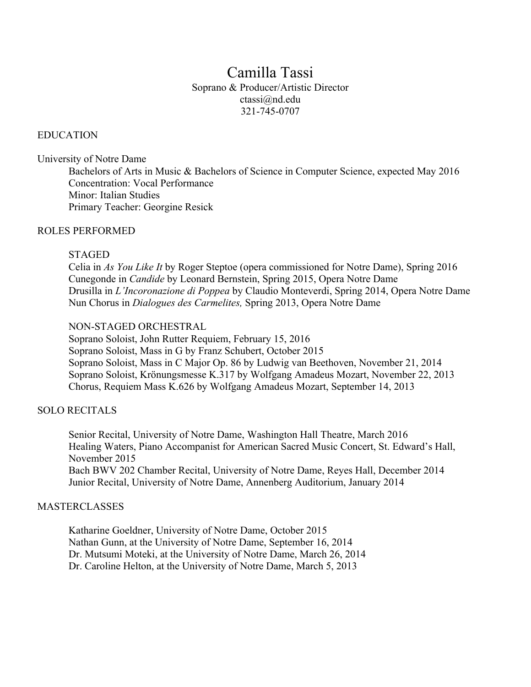# Camilla Tassi Soprano & Producer/Artistic Director ctassi@nd.edu 321-745-0707

## EDUCATION

University of Notre Dame

Bachelors of Arts in Music & Bachelors of Science in Computer Science, expected May 2016 Concentration: Vocal Performance Minor: Italian Studies Primary Teacher: Georgine Resick

## ROLES PERFORMED

## STAGED

Celia in *As You Like It* by Roger Steptoe (opera commissioned for Notre Dame), Spring 2016 Cunegonde in *Candide* by Leonard Bernstein, Spring 2015, Opera Notre Dame Drusilla in *L'Incoronazione di Poppea* by Claudio Monteverdi, Spring 2014, Opera Notre Dame Nun Chorus in *Dialogues des Carmelites,* Spring 2013, Opera Notre Dame

## NON-STAGED ORCHESTRAL

Soprano Soloist, John Rutter Requiem, February 15, 2016 Soprano Soloist, Mass in G by Franz Schubert, October 2015 Soprano Soloist, Mass in C Major Op. 86 by Ludwig van Beethoven, November 21, 2014 Soprano Soloist, Krönungsmesse K.317 by Wolfgang Amadeus Mozart, November 22, 2013 Chorus, Requiem Mass K.626 by Wolfgang Amadeus Mozart, September 14, 2013

## SOLO RECITALS

Senior Recital, University of Notre Dame, Washington Hall Theatre, March 2016 Healing Waters, Piano Accompanist for American Sacred Music Concert, St. Edward's Hall, November 2015 Bach BWV 202 Chamber Recital, University of Notre Dame, Reyes Hall, December 2014 Junior Recital, University of Notre Dame, Annenberg Auditorium, January 2014

## MASTERCLASSES

Katharine Goeldner, University of Notre Dame, October 2015 Nathan Gunn, at the University of Notre Dame, September 16, 2014 Dr. Mutsumi Moteki, at the University of Notre Dame, March 26, 2014 Dr. Caroline Helton, at the University of Notre Dame, March 5, 2013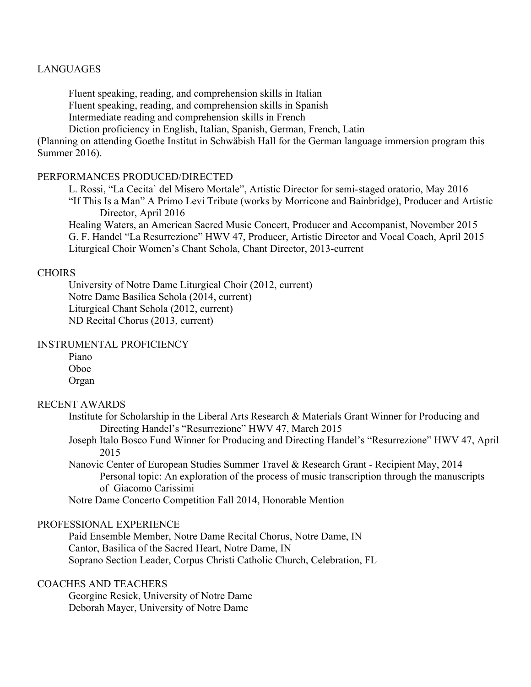## LANGUAGES

Fluent speaking, reading, and comprehension skills in Italian Fluent speaking, reading, and comprehension skills in Spanish Intermediate reading and comprehension skills in French Diction proficiency in English, Italian, Spanish, German, French, Latin

(Planning on attending Goethe Institut in Schwäbish Hall for the German language immersion program this Summer 2016).

#### PERFORMANCES PRODUCED/DIRECTED

L. Rossi, "La Cecita` del Misero Mortale", Artistic Director for semi-staged oratorio, May 2016 "If This Is a Man" A Primo Levi Tribute (works by Morricone and Bainbridge), Producer and Artistic Director, April 2016

Healing Waters, an American Sacred Music Concert, Producer and Accompanist, November 2015 G. F. Handel "La Resurrezione" HWV 47, Producer, Artistic Director and Vocal Coach, April 2015 Liturgical Choir Women's Chant Schola, Chant Director, 2013-current

#### CHOIRS

University of Notre Dame Liturgical Choir (2012, current) Notre Dame Basilica Schola (2014, current) Liturgical Chant Schola (2012, current) ND Recital Chorus (2013, current)

## INSTRUMENTAL PROFICIENCY

| Piano |  |
|-------|--|
| Oboe  |  |
| Organ |  |

## RECENT AWARDS

- Institute for Scholarship in the Liberal Arts Research & Materials Grant Winner for Producing and Directing Handel's "Resurrezione" HWV 47, March 2015
- Joseph Italo Bosco Fund Winner for Producing and Directing Handel's "Resurrezione" HWV 47, April 2015
- Nanovic Center of European Studies Summer Travel & Research Grant Recipient May, 2014 Personal topic: An exploration of the process of music transcription through the manuscripts of Giacomo Carissimi

Notre Dame Concerto Competition Fall 2014, Honorable Mention

## PROFESSIONAL EXPERIENCE

Paid Ensemble Member, Notre Dame Recital Chorus, Notre Dame, IN Cantor, Basilica of the Sacred Heart, Notre Dame, IN Soprano Section Leader, Corpus Christi Catholic Church, Celebration, FL

# COACHES AND TEACHERS

Georgine Resick, University of Notre Dame Deborah Mayer, University of Notre Dame